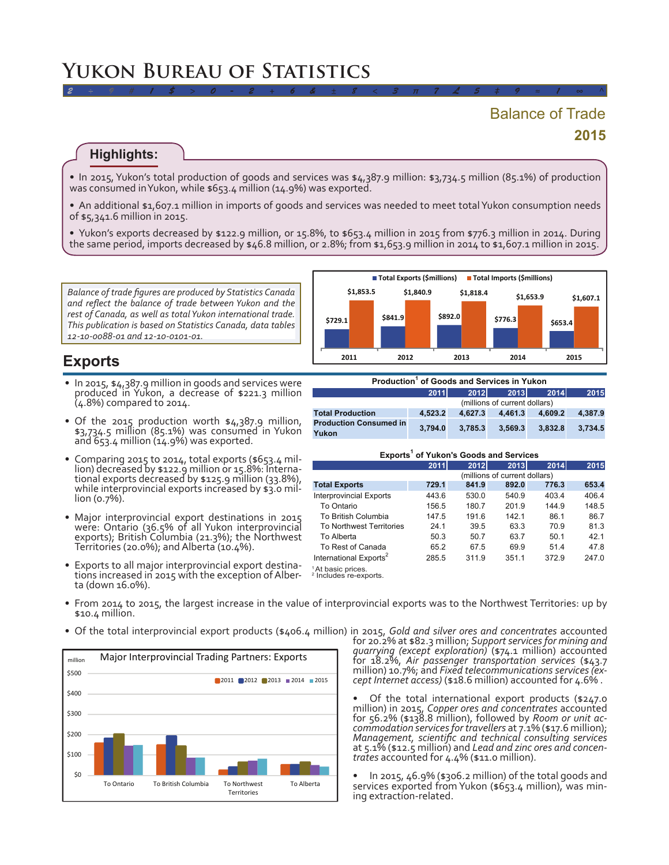# **2015** Balance of Trade

#### **Highlights:**

• In 2015, Yukon's total production of goods and services was \$4,387.9 million: \$3,734.5 million (85.1%) of production was consumed inYukon, while \$653.4 million (14.9%) was exported.

*2 ÷ 9 # 1 \$ > 0 - 2 + 6 & ± 8 < 3 π 7 £ 5 ‡ 9 ≈ 1 ∞ ^*

• An additional \$1,607.1 million in imports of goods and services was needed to meet total Yukon consumption needs of \$5,341.6 million in 2015.

• Yukon's exports decreased by \$122.9 million, or 15.8%, to \$653.4 million in 2015 from \$776.3 million in 2014. During the same period, imports decreased by \$46.8 million, or 2.8%; from \$1,653.9 million in 2014 to \$1,607.1 million in 2015.

*Balance of trade figures are produced by Statistics Canada and reflect the balance of trade between Yukon and the rest of Canada, as well as total Yukon international trade. This publication is based on Statistics Canada, data tables 12-10-0088-01 and 12-10-0101-01.*



## **Exports**

- In 2015, \$4,387.9 million in goods and services were produced in Yukon, a decrease of \$221.3 million (4.8%) compared to 2014.
- Of the 2015 production worth \$4,387.9 million, \$3,734.5 million (85.1%) was consumed in Yukon and 653.4 million (14.9%) was exported.
- Comparing 2015 to 2014, total exports (\$653.4 million) decreased by \$122.9 million or 15.8%: International exports decreased by \$125.9 million (33.8%), while interprovincial exports increased by \$3.0 million (0.7%).
- Major interprovincial export destinations in 2015 were: Ontario (36.5% of all Yukon interprovincial exports); British Columbia (21.3%); the Northwest Territories (20.0%); andAlberta (10.4%).
- Exports to all major interprovincial export destina-<br>tions increased in 2015 with the exception of Alber-<br>ta (down 16.0%).

| Production <sup>1</sup> of Goods and Services in Yukon |                               |         |         |         |         |
|--------------------------------------------------------|-------------------------------|---------|---------|---------|---------|
|                                                        | 2011                          | 2012    | 2013    | 2014    | 2015    |
|                                                        | (millions of current dollars) |         |         |         |         |
| <b>Total Production</b>                                | 4.523.2                       | 4.627.3 | 4,461.3 | 4,609.2 | 4,387.9 |
| <b>Production Consumed in</b><br>Yukon                 | 3.794.0                       | 3.785.3 | 3.569.3 | 3.832.8 | 3.734.5 |

#### **Exports1 of Yukon's Goods and Services**

|                                    | 2011                          | 2012  | 2013  | 2014  | 2015  |  |
|------------------------------------|-------------------------------|-------|-------|-------|-------|--|
|                                    | (millions of current dollars) |       |       |       |       |  |
| <b>Total Exports</b>               | 729.1                         | 841.9 | 892.0 | 776.3 | 653.4 |  |
| <b>Interprovincial Exports</b>     | 443.6                         | 530.0 | 540.9 | 403.4 | 406.4 |  |
| To Ontario                         | 156.5                         | 180.7 | 201.9 | 144.9 | 148.5 |  |
| To British Columbia                | 147.5                         | 191.6 | 142.1 | 86.1  | 86.7  |  |
| <b>To Northwest Territories</b>    | 24.1                          | 39.5  | 63.3  | 70.9  | 81.3  |  |
| To Alberta                         | 50.3                          | 50.7  | 63.7  | 50.1  | 42.1  |  |
| To Rest of Canada                  | 65.2                          | 67.5  | 69.9  | 51.4  | 47.8  |  |
| International Exports <sup>2</sup> | 285.5                         | 311.9 | 351.1 | 372.9 | 247.0 |  |
| <sup>1</sup> At basic prices.      |                               |       |       |       |       |  |

- From 2014 to 2015, the largest increase in the value of interprovincial exports was to the Northwest Territories: up by \$10.4 million.
- • Of the total interprovincial export products (\$406.4 million) in 2015, *Gold and silver ores and concentrates* accounted



for 20.2% at \$82.3 million; *Support services for mining and quarrying (except exploration)* (\$74.1 million) accounted for 18.2%, *Air passenger transportation services* (\$43.7 million) 10.7%; and *Fixed telecommunications services (ex- cept Internet access)* (\$18.6 million) accounted for 4.6% .

• <sup>O</sup><sup>f</sup> the total international export products (\$247.0 million) in 2015, *Copper ores and concentrates* accounted for 56.2% (\$138.8 million), followed by *Room or unit ac- commodation services for travellers* at 7.1% (\$17.6 million); *Management, scientific and technical consulting services* Management, scientific and *technical consulting services* at 5.1% (\$12.5 million) and *Lead and zinc ores and concentrates* accounted for 4.4% (\$11.0 million).

In 2015,  $46.9\%$  (\$306.2 million) of the total goods and services exported from Yukon (\$653.4 million), was min-<br>ing extraction-related.